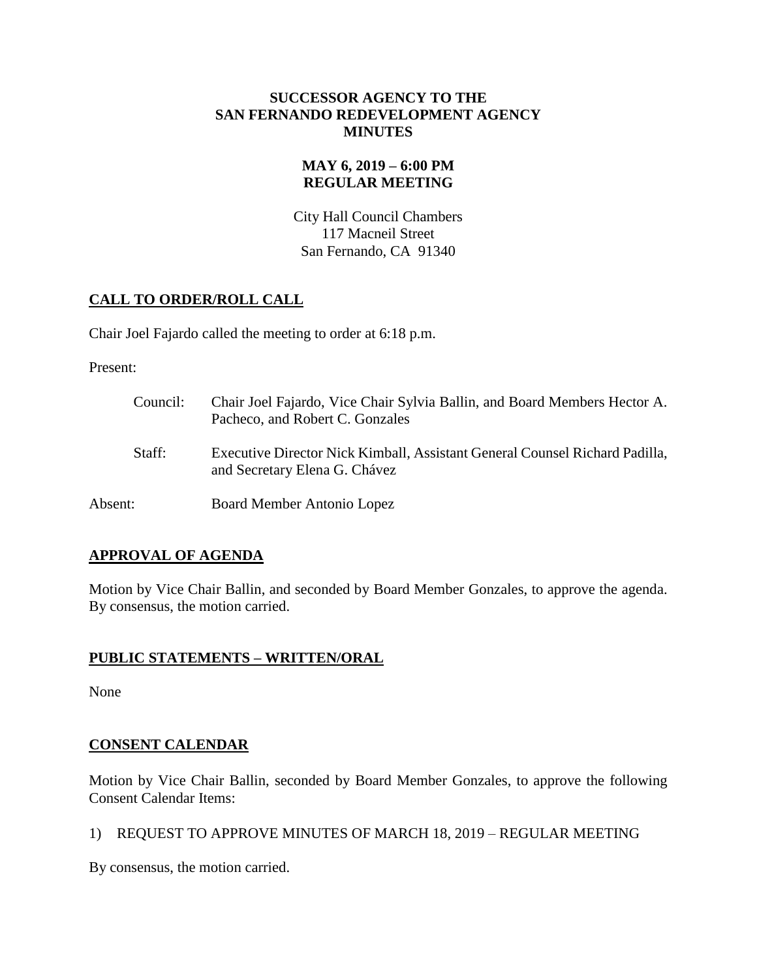### **SUCCESSOR AGENCY TO THE SAN FERNANDO REDEVELOPMENT AGENCY MINUTES**

### **MAY 6, 2019 – 6:00 PM REGULAR MEETING**

City Hall Council Chambers 117 Macneil Street San Fernando, CA 91340

## **CALL TO ORDER/ROLL CALL**

Chair Joel Fajardo called the meeting to order at 6:18 p.m.

Present:

| Council: | Chair Joel Fajardo, Vice Chair Sylvia Ballin, and Board Members Hector A.<br>Pacheco, and Robert C. Gonzales |
|----------|--------------------------------------------------------------------------------------------------------------|
| Staff:   | Executive Director Nick Kimball, Assistant General Counsel Richard Padilla,<br>and Secretary Elena G. Chávez |
| Absent:  | Board Member Antonio Lopez                                                                                   |

### **APPROVAL OF AGENDA**

Motion by Vice Chair Ballin, and seconded by Board Member Gonzales, to approve the agenda. By consensus, the motion carried.

### **PUBLIC STATEMENTS – WRITTEN/ORAL**

None

# **CONSENT CALENDAR**

Motion by Vice Chair Ballin, seconded by Board Member Gonzales, to approve the following Consent Calendar Items:

1) REQUEST TO APPROVE MINUTES OF MARCH 18, 2019 – REGULAR MEETING

By consensus, the motion carried.